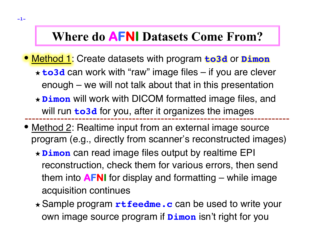# **Where do AFNI Datasets Come From?**

- Method 1: Create datasets with program **to3d** or **Dimon** ★ **to3d** can work with "raw" image files – if you are clever enough – we will not talk about that in this presentation
	- ★ **Dimon** will work with DICOM formatted image files, and will run **to3d** for you, after it organizes the images
- Method 2: Realtime input from an external image source program (e.g., directly from scanner's reconstructed images)
	- ★ **Dimon** can read image files output by realtime EPI reconstruction, check them for various errors, then send them into **AFNI** for display and formatting – while image acquisition continues
	- ★ Sample program **rtfeedme.c** can be used to write your own image source program if **Dimon** isn't right for you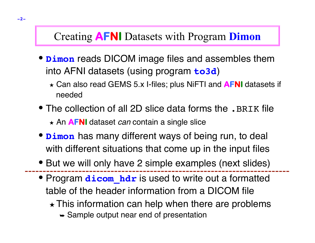# Creating **AFNI** Datasets with Program **Dimon**

- **Dimon** reads DICOM image files and assembles them into AFNI datasets (using program **to3d**)
	- ★ Can also read GEMS 5.x I-files; plus NiFTI and **AFNI** datasets if needed
- The collection of all 2D slice data forms the . BRIK file ★ An **AFNI** dataset *can* contain a single slice
- **Dimon** has many different ways of being run, to deal with different situations that come up in the input files
- But we will only have 2 simple examples (next slides)
- Program **dicom hdr** is used to write out a formatted table of the header information from a DICOM file
	- $\star$  This information can help when there are problems
		- **► Sample output near end of presentation**

**-2-**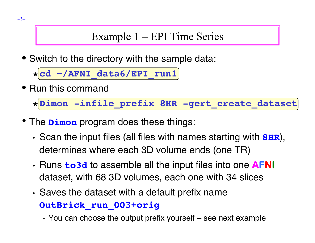# Example 1 – EPI Time Series

• Switch to the directory with the sample data:

★ **cd ~/AFNI\_data6/EPI\_run1**

• Run this command

★ **Dimon -infile\_prefix 8HR -gert\_create\_dataset**

- The **Dimon** program does these things:
	- Scan the input files (all files with names starting with **8HR**), determines where each 3D volume ends (one TR)
	- Runs **to3d** to assemble all the input files into one **AFNI**  dataset, with 68 3D volumes, each one with 34 slices
	- Saves the dataset with a default prefix name **OutBrick\_run\_003+orig**

• You can choose the output prefix yourself – see next example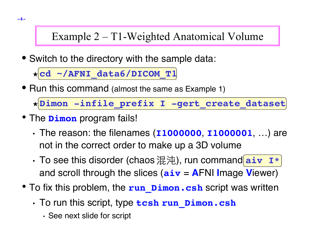# Example 2 – T1-Weighted Anatomical Volume

• Switch to the directory with the sample data:

★ **cd ~/AFNI\_data6/DICOM\_T1**

• Run this command (almost the same as Example 1)

★ **Dimon -infile\_prefix I -gert\_create\_dataset**

- The **Dimon** program fails!
	- The reason: the filenames (**I1000000**, **I1000001**, …) are not in the correct order to make up a 3D volume
	- To see this disorder (chaos 混沌), run command **aiv**  $\mathbf{I}^*$ and scroll through the slices (**aiv** = **A**FNI **I**mage **V**iewer)
- To fix this problem, the **run\_Dimon.csh** script was written
	- To run this script, type **tcsh run\_Dimon.csh**
		- See next slide for script

**-4-**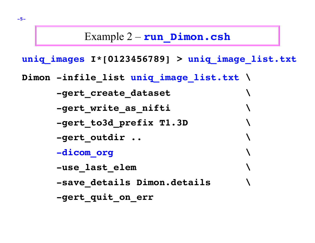#### Example 2 – **run\_Dimon.csh**

**uniq\_images I\*[0123456789] > uniq\_image\_list.txt**

**Dimon -infile\_list uniq\_image\_list.txt \**

 **-gert\_create\_dataset \**

 **-gert\_write\_as\_nifti \**

 **-gert\_to3d\_prefix T1.3D \**

 **-gert\_outdir .. \**

 **-dicom\_org \**

 **-use\_last\_elem \**

 **-save\_details Dimon.details \**

 **-gert\_quit\_on\_err**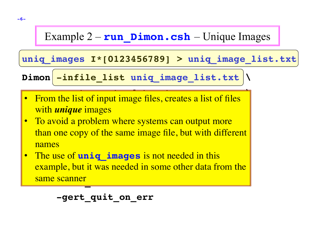### Example  $2 - \text{run}$  **Dimon.csh** – Unique Images

#### **uniq\_images I\*[0123456789] > uniq\_image\_list.txt**

 $Dimon$  -infile\_list uniq\_image\_list.txt

- **e** Example list of input image files exacts a list of files **12. November 2018 and** *unique* **images and** *unique* **images and the set of the set of the set of the set of the set of the set of the set of the set of the set of the set of the set of the set of the set of the set of the s** • From the list of input image files, creates a list of files
- To avoid a problem where systems can output more **1988** - **grade to the copy of the same mage me, but while univient** than one copy of the same image file, but with different names
- The use of **uniq\_images** is not needed in this **Example, but it was needed in some other data from the 1 - Saine scanner**<br> **Dimonstruments and all the scanner of the scanner of the scanner of the scanner of the scanner of the scanner of the scanner of the scanner of the scanner of the scanner of the scanner of the scanner** same scanner

 **-gert\_quit\_on\_err**

**-6-**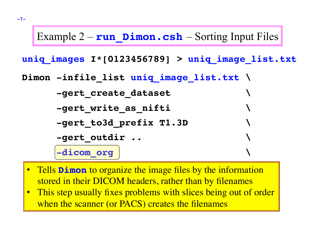### Example  $2 - \text{run}$  **Dimon.csh** – Sorting Input Files

**uniq\_images I\*[0123456789] > uniq\_image\_list.txt**

**Dimon -infile\_list uniq\_image\_list.txt \**

 **-gert\_create\_dataset \**

 **-gert\_write\_as\_nifti \**

 **-gert\_to3d\_prefix T1.3D \**

```
 -gert_outdir .. \
```
 **-dicom\_org \**

- Tells **Dimon** to organize the image files by the information **Subsequetails a ling in their DICOM headers, rather than by filenames**
- **1** This step usually fixes problem • This step usually fixes problems with slices being out of order when the scanner (or PACS) creates the filenames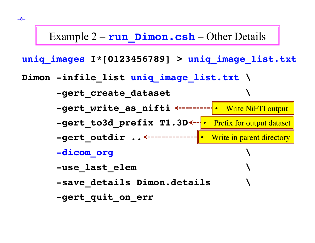#### Example 2 – **run Dimon.csh** – Other Details

**uniq\_images I\*[0123456789] > uniq\_image\_list.txt Dimon -infile\_list uniq\_image\_list.txt \ -gert\_create\_dataset \** -gert write as nifti **<------- -gert\_to3d\_prefix T1.3D \** • Prefix for output dataset-gert\_outdir .. <-------------|• Write in parent directory  **-dicom\_org \ -use\_last\_elem \ -save\_details Dimon.details \ -gert\_quit\_on\_err •** Write NiFTI output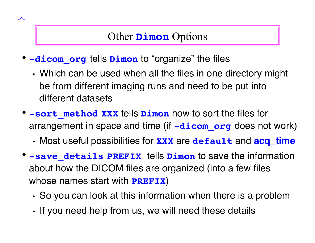### Other **Dimon** Options

- **-dicom\_org** tells **Dimon** to "organize" the files
	- Which can be used when all the files in one directory might be from different imaging runs and need to be put into different datasets
- **-sort\_method XXX** tells **Dimon** how to sort the files for arrangement in space and time (if **-dicom\_org** does not work)
	- Most useful possibilities for **XXX** are **default** and **acq\_time**
- **-save\_details PREFIX** tells **Dimon** to save the information about how the DICOM files are organized (into a few files whose names start with **PREFIX**)
	- So you can look at this information when there is a problem
	- If you need help from us, we will need these details

**-9-**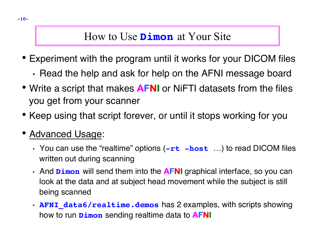### How to Use **Dimon** at Your Site

- Experiment with the program until it works for your DICOM files
	- Read the help and ask for help on the AFNI message board
- Write a script that makes **AFNI** or NiFTI datasets from the files you get from your scanner
- Keep using that script forever, or until it stops working for you
- Advanced Usage:
	- You can use the "realtime" options (**-rt -host** …) to read DICOM files written out during scanning
	- And **Dimon** will send them into the **AFNI** graphical interface, so you can look at the data and at subject head movement while the subject is still being scanned
	- **AFNI data6/realtime.demos** has 2 examples, with scripts showing how to run **Dimon** sending realtime data to **AFNI**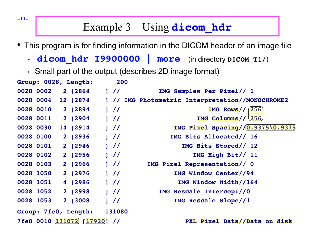## Example 3 – Using **dicom\_hdr**

- This program is for finding information in the DICOM header of an image file
	- **dicom hdr I9900000 | more** (in directory DICOM\_T1/)
	- Small part of the output (describes 2D image format)

|                                           | Group: 0028, Length: | 200   |                                             |
|-------------------------------------------|----------------------|-------|---------------------------------------------|
| 0028 0002                                 | 2 [2864              | 1 / l | IMG Samples Per Pixel// 1                   |
| 0028 0004                                 | 12 [2874             | 1 / l | IMG Photometric Interpretation//MONOCHROME2 |
| 0028 0010                                 | 2 [2894              | 1 / l | IMG Rows $/$ (256)                          |
| 0028 0011                                 | 2 [2904              | 1 / l | IMG Columns//(256)                          |
| 0028 0030                                 | 14 [2914]            | 1 / l | <b>IMG Pixel Spacing//0.9375\0.9375</b>     |
| 0028 0100                                 | 2 [2936              | 1 / l | IMG Bits Allocated// 16                     |
| 0028 0101                                 | 2 [2946              | 1 / l | IMG Bits Stored// 12                        |
| 0028 0102                                 | 2 [2956              | 1 / l | IMG High Bit// 11                           |
| 0028 0103                                 | 2 [2966              | 1 / l | IMG Pixel Representation// 0                |
| 0028 1050                                 | 2 [2976              | 1 / l | IMG Window Center//94                       |
| 0028 1051                                 | 4 [2986              | 1 / l | IMG Window Width//164                       |
| 0028 1052                                 | 2 [2998              | 1 / l | IMG Rescale Intercept//0                    |
| 0028 1053                                 | 2 [3008]             | 1 / l | IMG Rescale Slope//1                        |
| Group: 7fe0, Length:<br>131080            |                      |       |                                             |
| 7fe0 0010 131072 [17920]<br>$\frac{1}{2}$ |                      |       | PXL Pixel Data//Data on disk                |

**-11-**